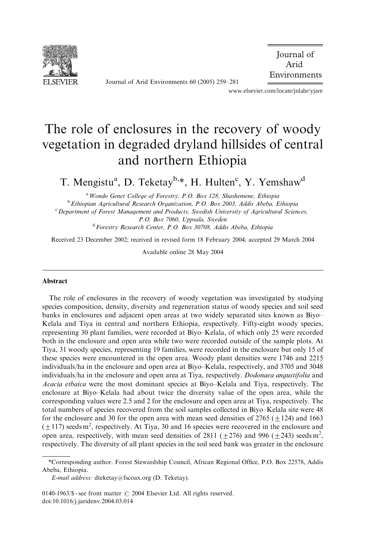

Journal of Arid Environments 60 (2005) 259–281

 Journal of Arid Environments

www.elsevier.com/locate/jnlabr/yjare

# The role of enclosures in the recovery of woody vegetation in degraded dryland hillsides of central and northern Ethiopia

T. Mengistu<sup>a</sup>, D. Teketay<sup>b,\*</sup>, H. Hulten<sup>c</sup>, Y. Yemshaw<sup>d</sup>

<sup>a</sup> Wondo Genet College of Forestry, P.O. Box 128, Shashemene, Ethiopia  $b$  Ethiopian Agricultural Research Organization, P.O. Box 2003, Addis Abeba, Ethiopia <sup>c</sup> Department of Forest Management and Products, Swedish University of Agricultural Sciences, P.O. Box 7060, Uppsala, Sweden <sup>d</sup> Forestry Research Center, P.O. Box 30708, Addis Abeba, Ethiopia

Received 23 December 2002; received in revised form 18 February 2004; accepted 29 March 2004

Available online 28 May 2004

#### Abstract

The role of enclosures in the recovery of woody vegetation was investigated by studying species composition, density, diversity and regeneration status of woody species and soil seed banks in enclosures and adjacent open areas at two widely separated sites known as Biyo– Kelala and Tiya in central and northern Ethiopia, respectively. Fifty-eight woody species, representing 30 plant families, were recorded at Biyo–Kelala, of which only 25 were recorded both in the enclosure and open area while two were recorded outside of the sample plots. At Tiya, 31 woody species, representing 19 families, were recorded in the enclosure but only 15 of these species were encountered in the open area. Woody plant densities were 1746 and 2215 individuals/ha in the enclosure and open area at Biyo–Kelala, respectively, and 3705 and 3048 individuals/ha in the enclosure and open area at Tiya, respectively. Dodonaea angustifolia and Acacia etbaica were the most dominant species at Biyo–Kelala and Tiya, respectively. The enclosure at Biyo–Kelala had about twice the diversity value of the open area, while the corresponding values were 2.5 and 2 for the enclosure and open area at Tiya, respectively. The total numbers of species recovered from the soil samples collected in Biyo–Kelala site were 48 for the enclosure and 30 for the open area with mean seed densities of  $2765 (\pm 124)$  and 1663  $(\pm 117)$  seeds m<sup>2</sup>, respectively. At Tiya, 30 and 16 species were recovered in the enclosure and open area, respectively, with mean seed densities of 2811 ( $\pm$ 276) and 996 ( $\pm$ 243) seeds m<sup>2</sup>, respectively. The diversity of all plant species in the soil seed bank was greater in the enclosure

<sup>\*</sup>Corresponding author. Forest Stewardship Council, African Regional Office, P.O. Box 22578, Addis Abeba, Ethiopia.

E-mail address: dteketay@fscoax.org (D. Teketay).

<sup>0140-1963/\$ -</sup> see front matter  $\odot$  2004 Elsevier Ltd. All rights reserved. doi:10.1016/j.jaridenv.2004.03.014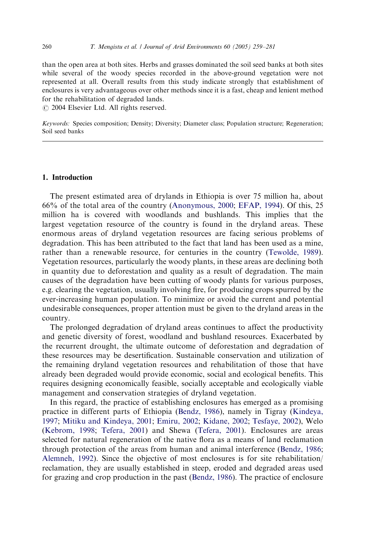than the open area at both sites. Herbs and grasses dominated the soil seed banks at both sites while several of the woody species recorded in the above-ground vegetation were not represented at all. Overall results from this study indicate strongly that establishment of enclosures is very advantageous over other methods since it is a fast, cheap and lenient method for the rehabilitation of degraded lands.

 $\odot$  2004 Elsevier Ltd. All rights reserved.

Keywords: Species composition; Density; Diversity; Diameter class; Population structure; Regeneration; Soil seed banks

#### 1. Introduction

The present estimated area of drylands in Ethiopia is over 75 million ha, about 66% of the total area of the country ([Anonymous, 2000;](#page-20-0) [EFAP, 1994](#page-21-0)). Of this, 25 million ha is covered with woodlands and bushlands. This implies that the largest vegetation resource of the country is found in the dryland areas. These enormous areas of dryland vegetation resources are facing serious problems of degradation. This has been attributed to the fact that land has been used as a mine, rather than a renewable resource, for centuries in the country ([Tewolde, 1989](#page-22-0)). Vegetation resources, particularly the woody plants, in these areas are declining both in quantity due to deforestation and quality as a result of degradation. The main causes of the degradation have been cutting of woody plants for various purposes, e.g. clearing the vegetation, usually involving fire, for producing crops spurred by the ever-increasing human population. To minimize or avoid the current and potential undesirable consequences, proper attention must be given to the dryland areas in the country.

The prolonged degradation of dryland areas continues to affect the productivity and genetic diversity of forest, woodland and bushland resources. Exacerbated by the recurrent drought, the ultimate outcome of deforestation and degradation of these resources may be desertification. Sustainable conservation and utilization of the remaining dryland vegetation resources and rehabilitation of those that have already been degraded would provide economic, social and ecological benefits. This requires designing economically feasible, socially acceptable and ecologically viable management and conservation strategies of dryland vegetation.

In this regard, the practice of establishing enclosures has emerged as a promising practice in different parts of Ethiopia [\(Bendz, 1986](#page-21-0)), namely in Tigray [\(Kindeya,](#page-21-0) [1997;](#page-21-0) [Mitiku and Kindeya, 2001](#page-22-0); [Emiru, 2002](#page-21-0); [Kidane, 2002](#page-21-0); [Tesfaye, 2002\)](#page-22-0), Welo [\(Kebrom, 1998](#page-21-0); [Tefera, 2001](#page-22-0)) and Shewa [\(Tefera, 2001](#page-22-0)). Enclosures are areas selected for natural regeneration of the native flora as a means of land reclamation through protection of the areas from human and animal interference [\(Bendz, 1986;](#page-21-0) [Alemneh, 1992](#page-20-0)). Since the objective of most enclosures is for site rehabilitation/ reclamation, they are usually established in steep, eroded and degraded areas used for grazing and crop production in the past ([Bendz, 1986\)](#page-21-0). The practice of enclosure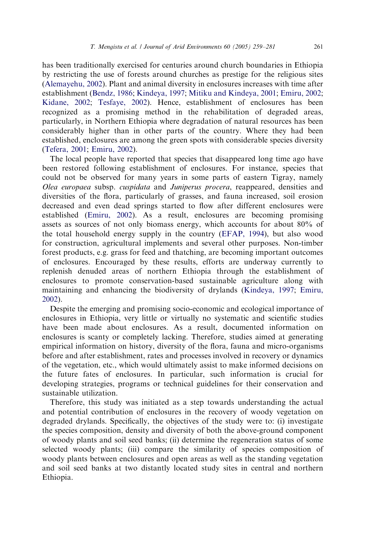has been traditionally exercised for centuries around church boundaries in Ethiopia by restricting the use of forests around churches as prestige for the religious sites [\(Alemayehu, 2002\)](#page-20-0). Plant and animal diversity in enclosures increases with time after establishment ([Bendz, 1986](#page-21-0); [Kindeya, 1997;](#page-21-0) [Mitiku and Kindeya, 2001;](#page-22-0) [Emiru, 2002;](#page-21-0) [Kidane, 2002](#page-21-0); [Tesfaye, 2002\)](#page-22-0). Hence, establishment of enclosures has been recognized as a promising method in the rehabilitation of degraded areas, particularly, in Northern Ethiopia where degradation of natural resources has been considerably higher than in other parts of the country. Where they had been established, enclosures are among the green spots with considerable species diversity [\(Tefera, 2001;](#page-22-0) [Emiru, 2002\)](#page-21-0).

The local people have reported that species that disappeared long time ago have been restored following establishment of enclosures. For instance, species that could not be observed for many years in some parts of eastern Tigray, namely Olea europaea subsp. cuspidata and Juniperus procera, reappeared, densities and diversities of the flora, particularly of grasses, and fauna increased, soil erosion decreased and even dead springs started to flowafter different enclosures were established ([Emiru, 2002\)](#page-21-0). As a result, enclosures are becoming promising assets as sources of not only biomass energy, which accounts for about 80% of the total household energy supply in the country ([EFAP, 1994](#page-21-0)), but also wood for construction, agricultural implements and several other purposes. Non-timber forest products, e.g. grass for feed and thatching, are becoming important outcomes of enclosures. Encouraged by these results, efforts are underway currently to replenish denuded areas of northern Ethiopia through the establishment of enclosures to promote conservation-based sustainable agriculture along with maintaining and enhancing the biodiversity of drylands [\(Kindeya, 1997](#page-21-0); [Emiru,](#page-21-0) [2002\)](#page-21-0).

Despite the emerging and promising socio-economic and ecological importance of enclosures in Ethiopia, very little or virtually no systematic and scientific studies have been made about enclosures. As a result, documented information on enclosures is scanty or completely lacking. Therefore, studies aimed at generating empirical information on history, diversity of the flora, fauna and micro-organisms before and after establishment, rates and processes involved in recovery or dynamics of the vegetation, etc., which would ultimately assist to make informed decisions on the future fates of enclosures. In particular, such information is crucial for developing strategies, programs or technical guidelines for their conservation and sustainable utilization.

Therefore, this study was initiated as a step towards understanding the actual and potential contribution of enclosures in the recovery of woody vegetation on degraded drylands. Specifically, the objectives of the study were to: (i) investigate the species composition, density and diversity of both the above-ground component of woody plants and soil seed banks; (ii) determine the regeneration status of some selected woody plants; (iii) compare the similarity of species composition of woody plants between enclosures and open areas as well as the standing vegetation and soil seed banks at two distantly located study sites in central and northern Ethiopia.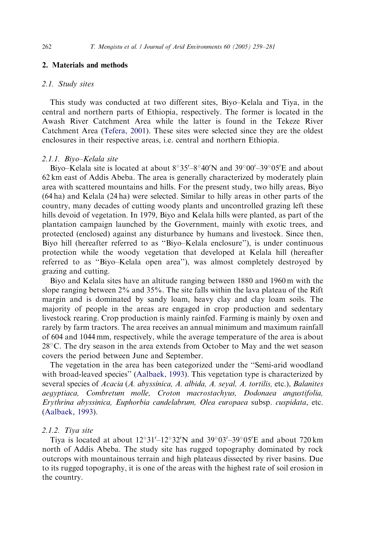## 2. Materials and methods

### 2.1. Study sites

This study was conducted at two different sites, Biyo–Kelala and Tiya, in the central and northern parts of Ethiopia, respectively. The former is located in the Awash River Catchment Area while the latter is found in the Tekeze River Catchment Area [\(Tefera, 2001](#page-22-0)). These sites were selected since they are the oldest enclosures in their respective areas, i.e. central and northern Ethiopia.

#### 2.1.1. Biyo–Kelala site

Biyo–Kelala site is located at about  $8^{\circ}35'$ – $8^{\circ}40'$ N and  $39^{\circ}00'$ – $39^{\circ}05'$ E and about 62 km east of Addis Abeba. The area is generally characterized by moderately plain area with scattered mountains and hills. For the present study, two hilly areas, Biyo (64 ha) and Kelala (24 ha) were selected. Similar to hilly areas in other parts of the country, many decades of cutting woody plants and uncontrolled grazing left these hills devoid of vegetation. In 1979, Biyo and Kelala hills were planted, as part of the plantation campaign launched by the Government, mainly with exotic trees, and protected (enclosed) against any disturbance by humans and livestock. Since then, Biyo hill (hereafter referred to as ''Biyo–Kelala enclosure''), is under continuous protection while the woody vegetation that developed at Kelala hill (hereafter referred to as ''Biyo–Kelala open area''), was almost completely destroyed by grazing and cutting.

Biyo and Kelala sites have an altitude ranging between 1880 and 1960 m with the slope ranging between 2% and 35%. The site falls within the lava plateau of the Rift margin and is dominated by sandy loam, heavy clay and clay loam soils. The majority of people in the areas are engaged in crop production and sedentary livestock rearing. Crop production is mainly rainfed. Farming is mainly by oxen and rarely by farm tractors. The area receives an annual minimum and maximum rainfall of 604 and 1044 mm, respectively, while the average temperature of the area is about  $28^{\circ}$ C. The dry season in the area extends from October to May and the wet season covers the period between June and September.

The vegetation in the area has been categorized under the ''Semi-arid woodland with broad-leaved species'' [\(Aalbaek, 1993](#page-20-0)). This vegetation type is characterized by several species of Acacia (A. abyssinica, A. albida, A. seyal, A. tortilis, etc.), Balanites aegyptiaca, Combretum molle, Croton macrostachyus, Dodonaea angustifolia, Erythrina abyssinica, Euphorbia candelabrum, Olea europaea subsp. cuspidata, etc. [\(Aalbaek, 1993\)](#page-20-0).

## 2.1.2. Tiya site

Tiya is located at about  $12^{\circ}31' - 12^{\circ}32'N$  and  $39^{\circ}03' - 39^{\circ}05'E$  and about 720 km north of Addis Abeba. The study site has rugged topography dominated by rock outcrops with mountainous terrain and high plateaus dissected by river basins. Due to its rugged topography, it is one of the areas with the highest rate of soil erosion in the country.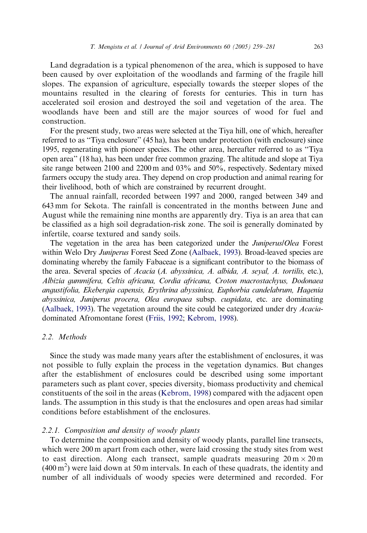Land degradation is a typical phenomenon of the area, which is supposed to have been caused by over exploitation of the woodlands and farming of the fragile hill slopes. The expansion of agriculture, especially towards the steeper slopes of the mountains resulted in the clearing of forests for centuries. This in turn has accelerated soil erosion and destroyed the soil and vegetation of the area. The woodlands have been and still are the major sources of wood for fuel and construction.

For the present study, two areas were selected at the Tiya hill, one of which, hereafter referred to as ''Tiya enclosure'' (45 ha), has been under protection (with enclosure) since 1995, regenerating with pioneer species. The other area, hereafter referred to as ''Tiya open area'' (18 ha), has been under free common grazing. The altitude and slope at Tiya site range between 2100 and 2200 m and 03% and 50%, respectively. Sedentary mixed farmers occupy the study area. They depend on crop production and animal rearing for their livelihood, both of which are constrained by recurrent drought.

The annual rainfall, recorded between 1997 and 2000, ranged between 349 and 643 mm for Sekota. The rainfall is concentrated in the months between June and August while the remaining nine months are apparently dry. Tiya is an area that can be classified as a high soil degradation-risk zone. The soil is generally dominated by infertile, coarse textured and sandy soils.

The vegetation in the area has been categorized under the *Juniperus/Olea* Forest within Welo Dry Juniperus Forest Seed Zone ([Aalbaek, 1993\)](#page-20-0). Broad-leaved species are dominating whereby the family Fabaceae is a significant contributor to the biomass of the area. Several species of Acacia (A. abyssinica, A. albida, A. seyal, A. tortilis, etc.), Albizia gummifera, Celtis africana, Cordia africana, Croton macrostachyus, Dodonaea angustifolia, Ekebergia capensis, Erythrina abyssinica, Euphorbia candelabrum, Hagenia abyssinica, Juniperus procera, Olea europaea subsp. cuspidata, etc. are dominating [\(Aalbaek, 1993\)](#page-20-0). The vegetation around the site could be categorized under dry Acaciadominated Afromontane forest [\(Friis, 1992](#page-21-0); [Kebrom, 1998](#page-21-0)).

## 2.2. Methods

Since the study was made many years after the establishment of enclosures, it was not possible to fully explain the process in the vegetation dynamics. But changes after the establishment of enclosures could be described using some important parameters such as plant cover, species diversity, biomass productivity and chemical constituents of the soil in the areas [\(Kebrom, 1998](#page-21-0)) compared with the adjacent open lands. The assumption in this study is that the enclosures and open areas had similar conditions before establishment of the enclosures.

### 2.2.1. Composition and density of woody plants

To determine the composition and density of woody plants, parallel line transects, which were 200 m apart from each other, were laid crossing the study sites from west to east direction. Along each transect, sample quadrats measuring  $20 \text{ m} \times 20 \text{ m}$  $(400 \text{ m}^2)$  were laid down at 50 m intervals. In each of these quadrats, the identity and number of all individuals of woody species were determined and recorded. For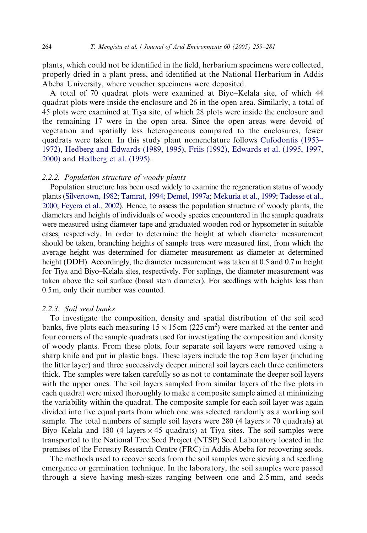plants, which could not be identified in the field, herbarium specimens were collected, properly dried in a plant press, and identified at the National Herbarium in Addis Abeba University, where voucher specimens were deposited.

A total of 70 quadrat plots were examined at Biyo–Kelala site, of which 44 quadrat plots were inside the enclosure and 26 in the open area. Similarly, a total of 45 plots were examined at Tiya site, of which 28 plots were inside the enclosure and the remaining 17 were in the open area. Since the open areas were devoid of vegetation and spatially less heterogeneous compared to the enclosures, fewer quadrats were taken. In this study plant nomenclature follows [Cufodontis \(1953–](#page-21-0) [1972\)](#page-21-0), [Hedberg and Edwards \(1989, 1995\),](#page-21-0) [Friis \(1992\)](#page-21-0), [Edwards et al. \(1995, 1997,](#page-21-0) [2000\)](#page-21-0) and [Hedberg et al. \(1995\)](#page-21-0).

### 2.2.2. Population structure of woody plants

Population structure has been used widely to examine the regeneration status of woody plants [\(Silvertown, 1982;](#page-22-0) [Tamrat, 1994](#page-22-0); [Demel, 1997a;](#page-21-0) [Mekuria et al., 1999](#page-22-0); [Tadesse et al.,](#page-22-0) [2000;](#page-22-0) [Feyera et al., 2002](#page-21-0)). Hence, to assess the population structure of woody plants, the diameters and heights of individuals of woody species encountered in the sample quadrats were measured using diameter tape and graduated wooden rod or hypsometer in suitable cases, respectively. In order to determine the height at which diameter measurement should be taken, branching heights of sample trees were measured first, from which the average height was determined for diameter measurement as diameter at determined height (DDH). Accordingly, the diameter measurement was taken at 0.5 and 0.7 m height for Tiya and Biyo–Kelala sites, respectively. For saplings, the diameter measurement was taken above the soil surface (basal stem diameter). For seedlings with heights less than 0.5 m, only their number was counted.

#### 2.2.3. Soil seed banks

To investigate the composition, density and spatial distribution of the soil seed banks, five plots each measuring  $15 \times 15$  cm (225 cm<sup>2</sup>) were marked at the center and four corners of the sample quadrats used for investigating the composition and density of woody plants. From these plots, four separate soil layers were removed using a sharp knife and put in plastic bags. These layers include the top 3 cm layer (including the litter layer) and three successively deeper mineral soil layers each three centimeters thick. The samples were taken carefully so as not to contaminate the deeper soil layers with the upper ones. The soil layers sampled from similar layers of the five plots in each quadrat were mixed thoroughly to make a composite sample aimed at minimizing the variability within the quadrat. The composite sample for each soil layer was again divided into five equal parts from which one was selected randomly as a working soil sample. The total numbers of sample soil layers were 280 (4 layers  $\times$  70 quadrats) at Biyo–Kelala and 180 (4 layers  $\times$  45 quadrats) at Tiya sites. The soil samples were transported to the National Tree Seed Project (NTSP) Seed Laboratory located in the premises of the Forestry Research Centre (FRC) in Addis Abeba for recovering seeds.

The methods used to recover seeds from the soil samples were sieving and seedling emergence or germination technique. In the laboratory, the soil samples were passed through a sieve having mesh-sizes ranging between one and 2.5 mm, and seeds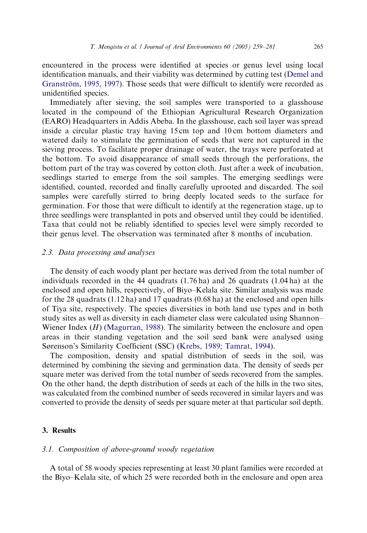encountered in the process were identified at species or genus level using local identification manuals, and their viability was determined by cutting test [\(Demel and](#page-21-0) [Granstr](#page-21-0)ö[m, 1995, 1997](#page-21-0)). Those seeds that were difficult to identify were recorded as unidentified species.

Immediately after sieving, the soil samples were transported to a glasshouse located in the compound of the Ethiopian Agricultural Research Organization (EARO) Headquarters in Addis Abeba. In the glasshouse, each soil layer was spread inside a circular plastic tray having 15 cm top and 10 cm bottom diameters and watered daily to stimulate the germination of seeds that were not captured in the sieving process. To facilitate proper drainage of water, the trays were perforated at the bottom. To avoid disappearance of small seeds through the perforations, the bottom part of the tray was covered by cotton cloth. Just after a week of incubation, seedlings started to emerge from the soil samples. The emerging seedlings were identified, counted, recorded and finally carefully uprooted and discarded. The soil samples were carefully stirred to bring deeply located seeds to the surface for germination. For those that were difficult to identify at the regeneration stage, up to three seedlings were transplanted in pots and observed until they could be identified. Taxa that could not be reliably identified to species level were simply recorded to their genus level. The observation was terminated after 8 months of incubation.

#### 2.3. Data processing and analyses

The density of each woody plant per hectare was derived from the total number of individuals recorded in the 44 quadrats (1.76 ha) and 26 quadrats (1.04 ha) at the enclosed and open hills, respectively, of Biyo–Kelala site. Similar analysis was made for the 28 quadrats (1.12 ha) and 17 quadrats (0.68 ha) at the enclosed and open hills of Tiya site, respectively. The species diversities in both land use types and in both study sites as well as diversity in each diameter class were calculated using Shannon– Wiener Index  $(H)$  [\(Magurran, 1988](#page-22-0)). The similarity between the enclosure and open areas in their standing vegetation and the soil seed bank were analysed using Sørenson's Similarity Coefficient (SSC) [\(Krebs, 1989](#page-21-0); [Tamrat, 1994](#page-22-0)).

The composition, density and spatial distribution of seeds in the soil, was determined by combining the sieving and germination data. The density of seeds per square meter was derived from the total number of seeds recovered from the samples. On the other hand, the depth distribution of seeds at each of the hills in the two sites, was calculated from the combined number of seeds recovered in similar layers and was converted to provide the density of seeds per square meter at that particular soil depth.

## 3. Results

#### 3.1. Composition of above-ground woody vegetation

A total of 58 woody species representing at least 30 plant families were recorded at the Biyo–Kelala site, of which 25 were recorded both in the enclosure and open area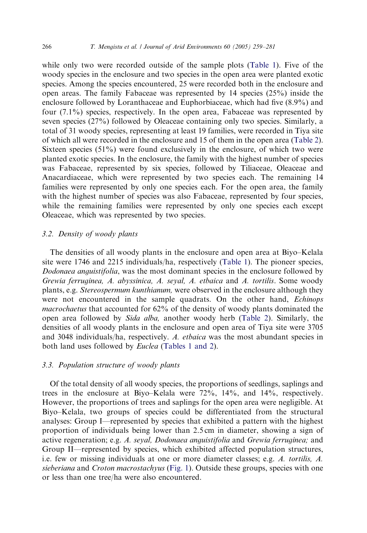while only two were recorded outside of the sample plots ([Table 1](#page-8-0)). Five of the woody species in the enclosure and two species in the open area were planted exotic species. Among the species encountered, 25 were recorded both in the enclosure and open areas. The family Fabaceae was represented by 14 species (25%) inside the enclosure followed by Loranthaceae and Euphorbiaceae, which had five (8.9%) and four (7.1%) species, respectively. In the open area, Fabaceae was represented by seven species (27%) followed by Oleaceae containing only two species. Similarly, a total of 31 woody species, representing at least 19 families, were recorded in Tiya site of which all were recorded in the enclosure and 15 of them in the open area ([Table 2](#page-9-0)). Sixteen species  $(51\%)$  were found exclusively in the enclosure, of which two were planted exotic species. In the enclosure, the family with the highest number of species was Fabaceae, represented by six species, followed by Tiliaceae, Oleaceae and Anacardiaceae, which were represented by two species each. The remaining 14 families were represented by only one species each. For the open area, the family with the highest number of species was also Fabaceae, represented by four species, while the remaining families were represented by only one species each except Oleaceae, which was represented by two species.

## 3.2. Density of woody plants

The densities of all woody plants in the enclosure and open area at Biyo–Kelala site were 1746 and 2215 individuals/ha, respectively ([Table 1](#page-8-0)). The pioneer species, Dodonaea anguistifolia, was the most dominant species in the enclosure followed by Grewia ferruginea, A. abyssinica, A. seyal, A. etbaica and A. tortilis. Some woody plants, e.g. Stereospermum kunthianum, were observed in the enclosure although they were not encountered in the sample quadrats. On the other hand, *Echinops* macrochaetus that accounted for 62% of the density of woody plants dominated the open area followed by Sida alba, another woody herb [\(Table 2](#page-9-0)). Similarly, the densities of all woody plants in the enclosure and open area of Tiya site were 3705 and 3048 individuals/ha, respectively. A. etbaica was the most abundant species in both land uses followed by Euclea ([Tables 1 and 2\)](#page-8-0).

#### 3.3. Population structure of woody plants

Of the total density of all woody species, the proportions of seedlings, saplings and trees in the enclosure at Biyo–Kelala were 72%, 14%, and 14%, respectively. However, the proportions of trees and saplings for the open area were negligible. At Biyo–Kelala, two groups of species could be differentiated from the structural analyses: Group I—represented by species that exhibited a pattern with the highest proportion of individuals being lower than 2.5 cm in diameter, showing a sign of active regeneration; e.g. A. seyal, Dodonaea anguistifolia and Grewia ferruginea; and Group II—represented by species, which exhibited affected population structures, i.e. fewor missing individuals at one or more diameter classes; e.g. A. tortilis, A. sieberiana and Croton macrostachyus [\(Fig. 1\)](#page-10-0). Outside these groups, species with one or less than one tree/ha were also encountered.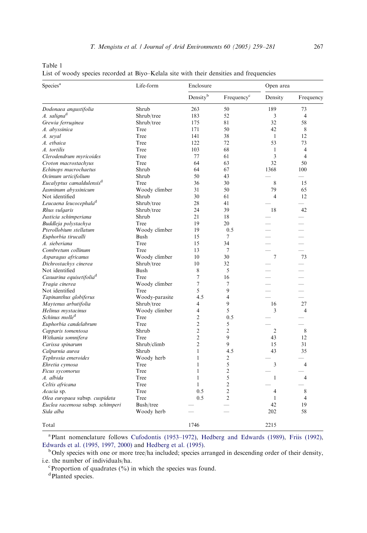<span id="page-8-0"></span>Table 1

List of woody species recorded at Biyo–Kelala site with their densities and frequencies

| Species <sup>a</sup>                  | Life-form      | Enclosure                        |                        | Open area      |                          |  |
|---------------------------------------|----------------|----------------------------------|------------------------|----------------|--------------------------|--|
|                                       |                | $\mathrm{Density}^{\mathrm{b}}$  | Frequency <sup>c</sup> | Density        | Frequency                |  |
| Dodonaea angustifolia                 | Shrub          | 263                              | 50                     | 189            | 73                       |  |
| A. saligna <sup>d</sup>               | Shrub/tree     | 183                              | 52                     | 3              | $\overline{4}$           |  |
| Grewia ferruginea                     | Shrub/tree     | 175                              | 81                     | 32             | 58                       |  |
| A. abyssinica                         | Tree           | 171                              | 50                     | 42             | 8                        |  |
| A. seyal                              | Tree           | 141                              | 38                     | 1              | 12                       |  |
| A. etbaica                            | Tree           | 122                              | 72                     | 53             | 73                       |  |
| A. tortilis                           | Tree           | 103                              | 68                     | $\mathbf{1}$   | $\overline{4}$           |  |
| Clerodendrum myricoides               | Tree           | 77                               | 61                     | $\overline{3}$ | $\overline{4}$           |  |
| Croton macrostachyus                  | Tree           | 64                               | 63                     | 32             | 50                       |  |
| Echinops macrochaetus                 | Shrub          | 64                               | 67                     | 1368           | 100                      |  |
| Ocimum urticifolium                   | Shrub          | 50                               | 43                     |                |                          |  |
| Eucalyptus camaldulensis <sup>d</sup> | Tree           | 36                               | 30                     | 8              | 15                       |  |
| Jasminum abyssinicum                  | Woody climber  | 31                               | 50                     | 79             | 65                       |  |
| Not identified                        | Shrub          | 30                               | 61                     | $\overline{4}$ | 12                       |  |
| Leucaena leucocephala <sup>d</sup>    | Shrub/tree     | 28                               | 41                     |                |                          |  |
| Rhus vulgaris                         | Shrub/tree     | 24                               | 39                     | 18             | 42                       |  |
| Justicia schimperiana                 | Shrub          | 21                               | 18                     |                |                          |  |
| Buddleja polystachya                  | Tree           | 19                               | 20                     |                |                          |  |
| Pterollobium stellatum                | Woody climber  | 19                               | 0.5                    |                |                          |  |
| Euphorbia tirucalli                   | <b>Bush</b>    | 15                               | 7                      |                |                          |  |
| A. sieberiana                         | Tree           | 15                               | 34                     |                |                          |  |
| Combretum collinum                    | Tree           | 13                               | 7                      |                | $\overline{\phantom{0}}$ |  |
| Asparagus africanus                   | Woody climber  | 10                               | 30                     | $\overline{7}$ | 73                       |  |
| Dichrostachys cinerea                 | Shrub/tree     | 10                               | 32                     |                |                          |  |
| Not identified                        | <b>Bush</b>    | 8                                | 5                      |                |                          |  |
| Casuarina equisetifolia <sup>d</sup>  | Tree           | $\overline{7}$                   | 16                     |                |                          |  |
| Tragia cinerea                        | Woody climber  | $\overline{7}$                   | 7                      |                |                          |  |
| Not identified                        | Tree           | 5                                | 9                      |                |                          |  |
| Tapinanthus globiferus                | Woody-parasite | 4.5                              | $\overline{4}$         |                |                          |  |
| Maytenus arbutifolia                  | Shrub/tree     | $\overline{4}$                   | 9                      | 16             | 27                       |  |
| Helinus mystacinus                    |                | $\overline{4}$                   | 5                      | 3              | $\overline{4}$           |  |
| Schinus molle <sup>d</sup>            | Woody climber  |                                  | 0.5                    |                |                          |  |
|                                       | Tree           | $\overline{c}$<br>$\overline{2}$ |                        |                |                          |  |
| Euphorbia candelabrum                 | Tree           |                                  | 5                      |                | $\overline{\phantom{a}}$ |  |
| Capparis tomentosa                    | Shrub          | $\overline{c}$<br>$\overline{c}$ | $\overline{c}$<br>9    | $\overline{c}$ | 8<br>12                  |  |
| Withania somnifera                    | Tree           |                                  |                        | 43             |                          |  |
| Carissa spinarum                      | Shrub/climb    | $\overline{c}$                   | 9                      | 15             | 31                       |  |
| Calpurnia aurea                       | Shrub          | $\mathbf{1}$                     | 4.5                    | 43             | 35                       |  |
| Tephrosia emeroides                   | Woody herb     | 1                                | $\overline{c}$         |                |                          |  |
| Ehretia cymosa                        | Tree           | $\mathbf{1}$                     | 5                      | 3              | $\overline{4}$           |  |
| Ficus sycomorus                       | Tree           | $\mathbf{1}$                     | $\overline{c}$         |                |                          |  |
| A. albida                             | Tree           | $\mathbf{1}$                     | 5                      | $\mathbf{1}$   | $\overline{4}$           |  |
| Celtis africana                       | Tree           | 1                                | $\overline{2}$         |                |                          |  |
| Acacia sp.                            | Tree           | 0.5                              | $\overline{c}$         | $\overline{4}$ | 8                        |  |
| Olea europaea subsp. cuspidata        | Tree           | 0.5                              | $\overline{c}$         | $\mathbf{1}$   | $\overline{4}$           |  |
| Euclea racemosa subsp. schimperi      | Bush/tree      |                                  |                        | 42             | 19                       |  |
| Sida alba                             | Woody herb     |                                  |                        | 202            | 58                       |  |
| Total                                 |                | 1746                             |                        | 2215           |                          |  |

<sup>a</sup> Plant nomenclature follows Cufodontis (1953-1972), [Hedberg and Edwards \(1989\),](#page-21-0) [Friis \(1992\)](#page-21-0), [Edwards et al. \(1995, 1997, 2000\)](#page-21-0) and [Hedberg et al. \(1995\).](#page-21-0)

<sup>b</sup>Only species with one or more tree/ha included; species arranged in descending order of their density, i.e. the number of individuals/ha.

Proportion of quadrates  $(\% )$  in which the species was found.

<sup>d</sup>Planted species.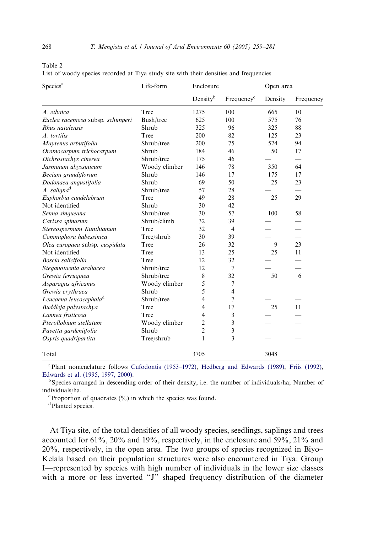<span id="page-9-0"></span>

Table 2

List of woody species recorded at Tiya study site with their densities and frequencies

| Species <sup>a</sup>               | Life-form     | Enclosure            |                        | Open area |           |  |
|------------------------------------|---------------|----------------------|------------------------|-----------|-----------|--|
|                                    |               | Density <sup>b</sup> | Frequency <sup>c</sup> | Density   | Frequency |  |
| A. ethaica                         | Tree          | 1275                 | 100                    | 665       | 10        |  |
| Euclea racemosa subsp. schimperi   | Bush/tree     | 625                  | 100                    | 575       | 76        |  |
| Rhus natalensis                    | Shrub         | 325                  | 96                     | 325       | 88        |  |
| A. tortilis                        | Tree          | 200                  | 82                     | 125       | 23        |  |
| Maytenus arbutifolia               | Shrub/tree    | 200                  | 75                     | 524       | 94        |  |
| Oromocarpum trichocarpum           | Shrub         | 184                  | 46                     | 50        | 17        |  |
| Dichrostachys cinerea              | Shrub/tree    | 175                  | 46                     |           |           |  |
| Jasminum abyssinicum               | Woody climber | 146                  | 78                     | 350       | 64        |  |
| Becium grandiflorum                | Shrub         | 146                  | 17                     | 175       | 17        |  |
| Dodonaea angustifolia              | Shrub         | 69                   | 50                     | 25        | 23        |  |
| A. saligna <sup>d</sup>            | Shrub/tree    | 57                   | 28                     |           |           |  |
| Euphorbia candelabrum              | Tree          | 49                   | 28                     | 25        | 29        |  |
| Not identified                     | Shrub         | 30                   | 42                     |           |           |  |
| Senna singueana                    | Shrub/tree    | 30                   | 57                     | 100       | 58        |  |
| Carissa spinarum                   | Shrub/climb   | 32                   | 39                     |           |           |  |
| Stereospermum Kunthianum           | Tree          | 32                   | $\overline{4}$         |           |           |  |
| Commiphora habessinica             | Tree/shrub    | 30                   | 39                     |           |           |  |
| Olea europaea subsp. cuspidata     | Tree          | 26                   | 32                     | 9         | 23        |  |
| Not identified                     | Tree          | 13                   | 25                     | 25        | 11        |  |
| Boscia salicifolia                 | Tree          | 12                   | 32                     |           |           |  |
| Steganotaenia araliacea            | Shrub/tree    | 12                   | 7                      |           |           |  |
| Grewia ferruginea                  | Shrub/tree    | 8                    | 32                     | 50        | 6         |  |
| Asparagus africanus                | Woody climber | 5                    | 7                      |           |           |  |
| Grewia erythraea                   | Shrub         | 5                    | $\overline{4}$         |           |           |  |
| Leucaena leucocephala <sup>d</sup> | Shrub/tree    | 4                    | 7                      |           |           |  |
| Buddleja polystachya               | Tree          | 4                    | 17                     | 25        | 11        |  |
| Lannea fruticosa                   | Tree          | 4                    | 3                      |           |           |  |
| Pterollobium stellatum             | Woody climber | 2                    | 3                      |           |           |  |
| Pavetta gardeniifolia              | Shrub         | $\overline{c}$       | 3                      |           |           |  |
| Osyris quadripartita               | Tree/shrub    | 1                    | 3                      |           |           |  |
| Total                              |               | 3705                 |                        | 3048      |           |  |

<sup>a</sup>Plant nomenclature follows [Cufodontis \(1953–1972\),](#page-21-0) [Hedberg and Edwards \(1989\),](#page-21-0) [Friis \(1992\)](#page-21-0), Edwards et al. (1995, 1997, 2000).

<sup>b</sup> Species arranged in descending order of their density, i.e. the number of individuals/ha; Number of individuals/ha.

<sup>c</sup> Proportion of quadrates  $(\frac{9}{0})$  in which the species was found.

<sup>d</sup>Planted species.

At Tiya site, of the total densities of all woody species, seedlings, saplings and trees accounted for 61%, 20% and 19%, respectively, in the enclosure and 59%, 21% and 20%, respectively, in the open area. The two groups of species recognized in Biyo– Kelala based on their population structures were also encountered in Tiya: Group I—represented by species with high number of individuals in the lower size classes with a more or less inverted "J" shaped frequency distribution of the diameter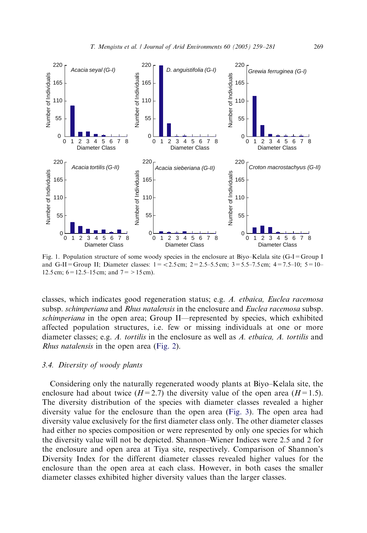<span id="page-10-0"></span>

Fig. 1. Population structure of some woody species in the enclosure at Biyo–Kelala site (G-I=Group I and G-II=Group II; Diameter classes:  $1 = 2.5$  cm;  $2 = 2.5$ –5.5 cm;  $3 = 5.5$ –7.5 cm;  $4 = 7.5$ –10;  $5 = 10$ – 12.5 cm;  $6 = 12.5 - 15$  cm; and  $7 = 15$  cm).

classes, which indicates good regeneration status; e.g. A. etbaica, Euclea racemosa subsp. schimperiana and Rhus natalensis in the enclosure and Euclea racemosa subsp. schimperiana in the open area; Group II—represented by species, which exhibited affected population structures, i.e. fewor missing individuals at one or more diameter classes; e.g. A. tortilis in the enclosure as well as A. etbaica, A. tortilis and Rhus natalensis in the open area [\(Fig. 2\)](#page-11-0).

## 3.4. Diversity of woody plants

Considering only the naturally regenerated woody plants at Biyo–Kelala site, the enclosure had about twice  $(H=2.7)$  the diversity value of the open area  $(H=1.5)$ . The diversity distribution of the species with diameter classes revealed a higher diversity value for the enclosure than the open area ([Fig. 3\)](#page-12-0). The open area had diversity value exclusively for the first diameter class only. The other diameter classes had either no species composition or were represented by only one species for which the diversity value will not be depicted. Shannon–Wiener Indices were 2.5 and 2 for the enclosure and open area at Tiya site, respectively. Comparison of Shannon's Diversity Index for the different diameter classes revealed higher values for the enclosure than the open area at each class. However, in both cases the smaller diameter classes exhibited higher diversity values than the larger classes.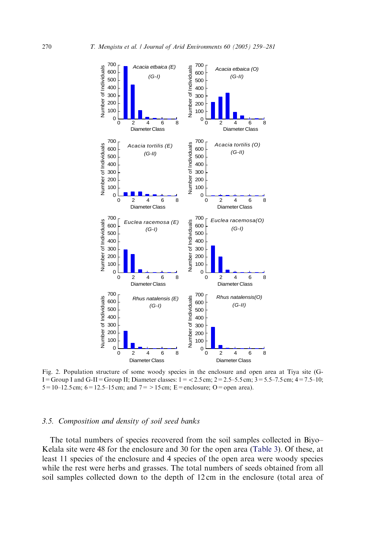<span id="page-11-0"></span>

Fig. 2. Population structure of some woody species in the enclosure and open area at Tiya site (G-I = Group I and G-II = Group II; Diameter classes:  $1 = 2.5$  cm;  $2 = 2.5$ –5.5 cm;  $3 = 5.5$ –7.5 cm;  $4 = 7.5$ –10;  $5=10-12.5$  cm;  $6=12.5-15$  cm; and  $7=>15$  cm; E=enclosure; O=open area).

#### 3.5. Composition and density of soil seed banks

The total numbers of species recovered from the soil samples collected in Biyo– Kelala site were 48 for the enclosure and 30 for the open area ([Table 3\)](#page-13-0). Of these, at least 11 species of the enclosure and 4 species of the open area were woody species while the rest were herbs and grasses. The total numbers of seeds obtained from all soil samples collected down to the depth of 12 cm in the enclosure (total area of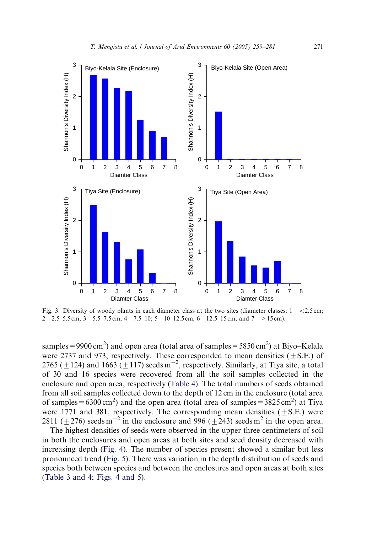<span id="page-12-0"></span>

Fig. 3. Diversity of woody plants in each diameter class at the two sites (diameter classes:  $1 = < 2.5$  cm;  $2=2.5-5.5$  cm;  $3=5.5-7.5$  cm;  $4=7.5-10$ ;  $5=10-12.5$  cm;  $6=12.5-15$  cm; and  $7=>15$  cm).

samples = 9900 cm<sup>2</sup>) and open area (total area of samples = 5850 cm<sup>2</sup>) at Biyo–Kelala were 2737 and 973, respectively. These corresponded to mean densities  $(\pm S.E.)$  of 2765 ( $\pm$ 124) and 1663 ( $\pm$ 117) seeds m<sup>-2</sup>, respectively. Similarly, at Tiya site, a total of 30 and 16 species were recovered from all the soil samples collected in the enclosure and open area, respectively [\(Table 4](#page-15-0)). The total numbers of seeds obtained from all soil samples collected down to the depth of 12 cm in the enclosure (total area of samples =  $6300 \text{ cm}^2$ ) and the open area (total area of samples =  $3825 \text{ cm}^2$ ) at Tiya were  $1771$  and  $381$ , respectively. The corresponding mean densities  $(+S.E.)$  were 2811 ( $\pm$ 276) seeds m<sup>-2</sup> in the enclosure and 996 ( $\pm$ 243) seeds m<sup>2</sup> in the open area.

The highest densities of seeds were observed in the upper three centimeters of soil in both the enclosures and open areas at both sites and seed density decreased with increasing depth [\(Fig. 4](#page-16-0)). The number of species present showed a similar but less pronounced trend ([Fig. 5](#page-17-0)). There was variation in the depth distribution of seeds and species both between species and between the enclosures and open areas at both sites [\(Table 3 and 4](#page-13-0); [Figs. 4 and 5](#page-16-0)).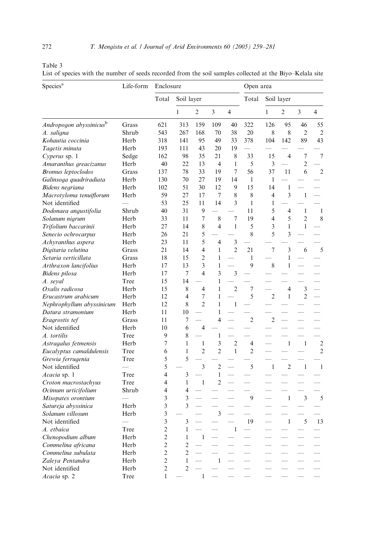<span id="page-13-0"></span>Table 3

List of species with the number of seeds recorded from the soil samples collected at the Biyo–Kelala site

| Species <sup>a</sup>                | Life-form                | Enclosure      |                         |                |                          |                          | Open area                |                |                          |                |                |  |
|-------------------------------------|--------------------------|----------------|-------------------------|----------------|--------------------------|--------------------------|--------------------------|----------------|--------------------------|----------------|----------------|--|
|                                     |                          | Total          | Soil layer              |                |                          |                          | Total                    |                | Soil layer               |                |                |  |
|                                     |                          |                | $\mathbf{1}$            | $\overline{2}$ | 3                        | $\overline{\mathcal{L}}$ |                          | $\mathbf{1}$   | $\overline{2}$           | 3              | 4              |  |
| Andropogon abyssinicus <sup>b</sup> | Grass                    | 621            | 313                     | 159            | 109                      | 40                       | 322                      | 126            | 95                       | 46             | 55             |  |
| A. saligna                          | Shrub                    | 543            | 267                     | 168            | 70                       | 38                       | 20                       | 8              | 8                        | $\overline{2}$ | $\overline{2}$ |  |
| Kohautia coccinia                   | Herb                     | 318            | 141                     | 95             | 49                       | 33                       | 378                      | 104            | 142                      | 89             | 43             |  |
| Tagetis minuta                      | Herb                     | 193            | 111                     | 43             | 20                       | 19                       | $\overline{\phantom{0}}$ |                |                          |                |                |  |
| Cyperus sp. 1                       | Sedge                    | 162            | 98                      | 35             | 21                       | 8                        | 33                       | 15             | $\overline{\mathcal{L}}$ | $\overline{7}$ | $\overline{7}$ |  |
| Amaranthus greacizanus              | Herb                     | 40             | 22                      | 13             | $\overline{4}$           | $\mathbf{1}$             | 5                        | 3              |                          | $\overline{2}$ |                |  |
| Bromus leptoclodos                  | Grass                    | 137            | 78                      | 33             | 19                       | 7                        | 56                       | 37             | 11                       | 6              | $\overline{c}$ |  |
| Galinsoga quadriradiata             | Herb                     | 130            | 70                      | 27             | 19                       | 14                       | 1                        | $\mathbf{1}$   |                          |                |                |  |
| Bidens negriana                     | Herb                     | 102            | 51                      | 30             | 12                       | 9                        | 15                       | 14             | $\mathbf{1}$             |                |                |  |
| Macrotyloma tenuiflorum             | Herb                     | 59             | 27                      | 17             | 7                        | 8                        | 8                        | $\overline{4}$ | $\overline{3}$           | $\mathbf{1}$   |                |  |
| Not identified                      |                          | 53             | 25                      | 11             | 14                       | 3                        | $\mathbf{1}$             | $\mathbf{1}$   |                          |                |                |  |
| Dodonaea angustifolia               | Shrub                    | 40             | 31                      | 9              |                          |                          | 11                       | 5              | 4                        | 1              | 1              |  |
| Solanum nigrum                      | Herb                     | 33             | 11                      | 7              | 8                        | 7                        | 19                       | 4              | 5                        | $\overline{c}$ | 8              |  |
| Trifolium baccarinii                | Herb                     | 27             | 14                      | 8              | $\overline{\mathcal{L}}$ | $\mathbf{1}$             | 5                        | 3              | $\mathbf{1}$             | $\mathbf{1}$   |                |  |
| Senecio ochrocarpus                 | Herb                     | 26             | 21                      | 5              |                          |                          | 8                        | 5              | 3                        |                |                |  |
| Achyranthus aspera                  | Herb                     | 23             | 11                      | 5              | 4                        | 3                        |                          |                |                          |                |                |  |
| Digitaria velutina                  | Grass                    | 21             | 14                      | $\overline{4}$ | $\mathbf{1}$             | $\overline{2}$           | 21                       | 7              | 3                        | 6              | 5              |  |
| Setaria verticillata                | Grass                    | 18             | 15                      | $\overline{c}$ | 1                        |                          | $\mathbf{1}$             |                | $\mathbf{1}$             |                |                |  |
| Arthraxon lancifolius               | Herb                     | 17             | 13                      | 3              | $\mathbf{1}$             |                          | 9                        | 8              | $\mathbf{1}$             |                |                |  |
| Bidens pilosa                       | Herb                     | 17             | $\overline{7}$          | 4              | 3                        | 3                        |                          |                |                          |                |                |  |
| A. seyal                            | Tree                     | 15             | 14                      |                | 1                        |                          |                          |                |                          |                |                |  |
| Oxalis radicosa                     | Herb                     | 15             | 8                       | 4              | $\mathbf{1}$             | $\overline{2}$           | $\overline{7}$           |                | 4                        | 3              |                |  |
| Erucastrum arabicum                 | Herb                     | 12             | 4                       | 7              | 1                        |                          | 5                        | $\overline{2}$ | $\mathbf{1}$             | $\overline{2}$ |                |  |
| Nephrophyllum abyssinicum           | Herb                     | 12             | 8                       | $\overline{c}$ | $\mathbf{1}$             | 1                        |                          |                |                          |                |                |  |
| Datura stramonium                   | Herb                     | 11             | 10                      |                | $\mathbf{1}$             |                          |                          |                |                          |                |                |  |
| Eragrostis tef                      | Grass                    | 11             | 7                       |                | $\overline{4}$           |                          | $\overline{c}$           | $\overline{2}$ |                          |                |                |  |
| Not identified                      | Herb                     | 10             | 6                       | 4              |                          |                          |                          |                |                          |                |                |  |
| A. tortilis                         | Tree                     | 9              | 8                       |                | $\mathbf{1}$             |                          |                          |                |                          |                |                |  |
| Astragalus fetmensis                | Herb                     | $\tau$         | $\mathbf{1}$            | 1              | 3                        | $\overline{c}$           | 4                        |                | 1                        | $\mathbf{1}$   | $\overline{2}$ |  |
| Eucalyptus camaldulensis            | Tree                     | 6              | $\mathbf{1}$            | $\overline{c}$ | $\overline{c}$           | $\mathbf{1}$             | $\overline{2}$           |                |                          |                | $\overline{c}$ |  |
| Grewia ferrugenia                   | Tree                     | 5              | 5                       |                |                          |                          |                          |                |                          |                |                |  |
| Not identified                      | $\overline{\phantom{0}}$ | 5              |                         | 3              | $\overline{c}$           |                          | 5                        | $\mathbf{1}$   | $\overline{c}$           | $\mathbf{1}$   | $\mathbf{1}$   |  |
| Acacia sp. 1                        | Tree                     | $\overline{4}$ | 3                       |                | $\mathbf{1}$             |                          |                          |                |                          |                |                |  |
| Croton macrostachyus                | Tree                     | $\overline{4}$ | 1                       | $\mathbf{1}$   | $\overline{c}$           |                          |                          |                |                          |                |                |  |
| Ocimum urticifolium                 | Shrub                    | 4              | $\overline{\mathbf{4}}$ |                |                          |                          |                          |                |                          |                |                |  |
| Misopates orontium                  | L.                       | 3              | 3                       |                |                          |                          | 9                        |                | 1                        | 3              | 5              |  |
| Satureja abyssinica                 | Herb                     | 3              | 3                       |                |                          |                          |                          |                |                          |                |                |  |
| Solanum villosum                    | Herb                     | 3              |                         |                | 3                        |                          |                          |                |                          |                |                |  |
| Not identified                      |                          | 3              | 3                       |                |                          |                          | 19                       |                | 1                        | 5              | 13             |  |
| A. etbaica                          | Tree                     | $\mathfrak{2}$ | $\mathbf{1}$            |                |                          | 1                        |                          |                |                          |                |                |  |
| Chenopodium album                   | Herb                     | $\overline{c}$ | $\mathbf{1}$            | $\mathbf{1}$   |                          |                          |                          |                |                          |                |                |  |
| Commelina africana                  | Herb                     | $\overline{2}$ | $\overline{2}$          |                |                          |                          |                          |                |                          |                |                |  |
| Commelina subulata                  | Herb                     | $\overline{2}$ | $\overline{2}$          |                |                          |                          |                          |                |                          |                |                |  |
| Zaleya Pentandra                    | Herb                     | $\overline{2}$ | $\mathbf{1}$            |                | $\mathbf{1}$             |                          |                          |                |                          |                |                |  |
| Not identified                      | Herb                     | $\overline{2}$ | $\overline{2}$          |                |                          |                          |                          |                |                          |                |                |  |
| Acacia sp. 2                        | Tree                     | $\mathbf{1}$   |                         | 1              |                          |                          |                          |                |                          |                |                |  |
|                                     |                          |                |                         |                |                          |                          |                          |                |                          |                |                |  |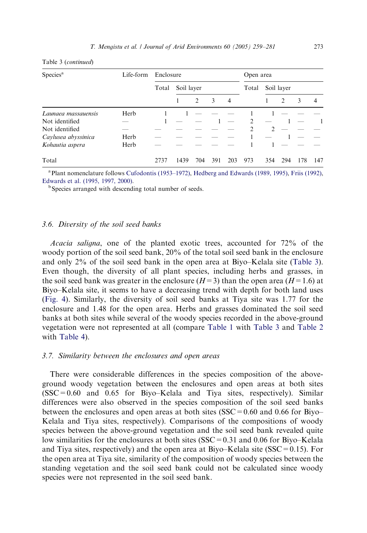| Species <sup>a</sup> | Life-form | Enclosure |            |     |     |                | Open area      |     |     |     |                |  |
|----------------------|-----------|-----------|------------|-----|-----|----------------|----------------|-----|-----|-----|----------------|--|
|                      |           | Total     | Soil layer |     |     | Total          | Soil layer     |     |     |     |                |  |
|                      |           |           |            | 2   | 3   | $\overline{4}$ |                |     | 2   | 3   | $\overline{4}$ |  |
| Launaea massauensis  | Herb      |           |            |     |     |                |                |     |     |     |                |  |
| Not identified       |           |           |            |     |     |                | $\overline{c}$ |     |     |     |                |  |
| Not identified       |           |           |            |     |     |                | 2              | 2   |     |     |                |  |
| Caylusea abyssinica  | Herb      |           |            |     |     |                |                |     |     |     |                |  |
| Kohautia aspera      | Herb      |           |            |     |     |                |                |     |     |     |                |  |
| Total                |           | 2737      | 1439       | 704 | 391 | 203            | 973            | 354 | 294 | 178 | 147            |  |

Table 3 (continued)

<sup>a</sup> Plant nomenclature follows [Cufodontis \(1953–1972\),](#page-21-0) [Hedberg and Edwards \(1989, 1995\),](#page-21-0) [Friis \(1992\)](#page-21-0), [Edwards et al. \(1995, 1997, 2000\).](#page-21-0)<br><sup>b</sup> Species arranged with descending total number of seeds.

### 3.6. Diversity of the soil seed banks

Acacia saligna, one of the planted exotic trees, accounted for 72% of the woody portion of the soil seed bank, 20% of the total soil seed bank in the enclosure and only 2% of the soil seed bank in the open area at Biyo–Kelala site ([Table 3](#page-13-0)). Even though, the diversity of all plant species, including herbs and grasses, in the soil seed bank was greater in the enclosure  $(H=3)$  than the open area  $(H=1.6)$  at Biyo–Kelala site, it seems to have a decreasing trend with depth for both land uses [\(Fig. 4\)](#page-16-0). Similarly, the diversity of soil seed banks at Tiya site was 1.77 for the enclosure and 1.48 for the open area. Herbs and grasses dominated the soil seed banks at both sites while several of the woody species recorded in the above-ground vegetation were not represented at all (compare [Table 1](#page-8-0) with [Table 3](#page-13-0) and [Table 2](#page-9-0) with [Table 4](#page-15-0)).

### 3.7. Similarity between the enclosures and open areas

There were considerable differences in the species composition of the aboveground woody vegetation between the enclosures and open areas at both sites  $(SSC = 0.60$  and 0.65 for Biyo–Kelala and Tiya sites, respectively). Similar differences were also observed in the species composition of the soil seed banks between the enclosures and open areas at both sites  $(SSC = 0.60$  and 0.66 for Biyo– Kelala and Tiya sites, respectively). Comparisons of the compositions of woody species between the above-ground vegetation and the soil seed bank revealed quite low similarities for the enclosures at both sites  $(SSC = 0.31$  and 0.06 for Biyo–Kelala and Tiya sites, respectively) and the open area at Biyo–Kelala site ( $SSC = 0.15$ ). For the open area at Tiya site, similarity of the composition of woody species between the standing vegetation and the soil seed bank could not be calculated since woody species were not represented in the soil seed bank.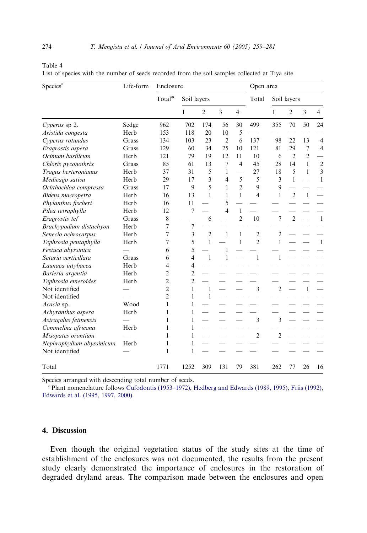<span id="page-15-0"></span>

| Table | 4 |
|-------|---|

List of species with the number of seeds recorded from the soil samples collected at Tiya site

| Species <sup>a</sup>      | Life-form | Enclosure      |                |                |                         |                          | Open area      |                |                |                |                |  |
|---------------------------|-----------|----------------|----------------|----------------|-------------------------|--------------------------|----------------|----------------|----------------|----------------|----------------|--|
|                           |           | Total*         | Soil layers    |                |                         |                          | Total          |                | Soil layers    |                |                |  |
|                           |           |                | 1              | $\overline{2}$ | $\overline{3}$          | $\overline{4}$           |                | $\mathbf{1}$   | $\overline{2}$ | $\overline{3}$ | $\overline{4}$ |  |
| Cyperus sp 2.             | Sedge     | 962            | 702            | 174            | 56                      | 30                       | 499            | 355            | 70             | 50             | 24             |  |
| Aristida congesta         | Herb      | 153            | 118            | 20             | 10                      | 5                        |                |                |                |                |                |  |
| Cyperus rotundus          | Grass     | 134            | 103            | 23             | $\overline{2}$          | 6                        | 137            | 98             | 22             | 13             | $\overline{4}$ |  |
| Eragrostis aspera         | Grass     | 129            | 60             | 34             | 25                      | 10                       | 121            | 81             | 29             | $\overline{7}$ | $\overline{4}$ |  |
| Ocimum basilicum          | Herb      | 121            | 79             | 19             | 12                      | 11                       | 10             | 6              | $\overline{2}$ | $\overline{2}$ |                |  |
| Chloris pyconothrix       | Grass     | 85             | 61             | 13             | $\overline{7}$          | $\overline{4}$           | 45             | 28             | 14             | $\mathbf{1}$   | $\overline{c}$ |  |
| Tragus berteronianus      | Herb      | 37             | 31             | 5              | 1                       | $\overline{\phantom{0}}$ | 27             | 18             | 5              | $\mathbf{1}$   | $\overline{3}$ |  |
| Medicago sativa           | Herb      | 29             | 17             | 3              | 4                       | 5                        | 5              | 3              | 1              | L.             | $\mathbf{1}$   |  |
| Ochthochloa compressa     | Grass     | 17             | 9              | 5              | 1                       | $\overline{2}$           | 9              | 9              |                |                |                |  |
| Bidens macropetra         | Herb      | 16             | 13             | $\mathbf{1}$   | 1                       | $\mathbf{1}$             | $\overline{4}$ | 1              | $\overline{2}$ | $\mathbf{1}$   |                |  |
| Phylanthus fischeri       | Herb      | 16             | 11             |                | 5                       |                          |                |                |                |                |                |  |
| Pilea tetraphylla         | Herb      | 12             | 7              |                | $\overline{\mathbf{4}}$ | $\mathbf{1}$             |                |                |                |                |                |  |
| Eragrostis tef            | Grass     | 8              |                | 6              |                         | $\overline{2}$           | 10             | 7              | $\overline{2}$ |                | $\overline{1}$ |  |
| Brachypodium distachyon   | Herb      | 7              | 7              |                |                         |                          |                |                |                |                |                |  |
| Senecio ochrocarpus       | Herb      | 7              | $\mathfrak{Z}$ | $\overline{2}$ | $\mathbf{1}$            | $\mathbf{1}$             | $\overline{2}$ | $\overline{2}$ |                |                |                |  |
| Tephrosia pentaphylla     | Herb      | 7              | 5              | $\mathbf{1}$   |                         | $\mathbf{1}$             | $\overline{2}$ | 1              |                |                | $\overline{1}$ |  |
| Festuca abyssinica        |           | 6              | 5              |                | 1                       |                          |                |                |                |                |                |  |
| Setaria verticillata      | Grass     | 6              | $\overline{4}$ | $\mathbf{1}$   | $\mathbf{1}$            |                          | $\mathbf{1}$   | 1              |                |                |                |  |
| Launaea intybacea         | Herb      | $\overline{4}$ | $\overline{4}$ |                |                         |                          |                |                |                |                |                |  |
| Barleria argentia         | Herb      | $\overline{c}$ | $\overline{2}$ |                |                         |                          |                |                |                |                |                |  |
| Tephrosia emeroides       | Herb      | $\overline{c}$ | $\overline{2}$ |                |                         |                          |                |                |                |                |                |  |
| Not identified            |           | $\overline{c}$ | $\mathbf{1}$   | $\mathbf{1}$   |                         |                          | 3              | $\overline{2}$ |                | $\mathbf{1}$   |                |  |
| Not identified            |           | $\overline{2}$ | 1              | $\mathbf{1}$   |                         |                          |                |                |                |                |                |  |
| Acacia sp.                | Wood      | 1              | 1              |                |                         |                          |                |                |                |                |                |  |
| Achyranthus aspera        | Herb      | 1              | 1              |                |                         |                          |                |                |                |                |                |  |
| Astragalus fetmensis      |           | 1              | $\mathbf{1}$   |                |                         |                          | 3              | 3              |                |                |                |  |
| Commelina africana        | Herb      | 1              | 1              |                |                         |                          |                |                |                |                |                |  |
| Misopates orontium        |           | 1              | 1              |                |                         |                          | $\overline{2}$ | $\overline{2}$ |                |                |                |  |
| Nephrophyllum abyssinicum | Herb      | 1              | 1              |                |                         |                          |                |                |                |                |                |  |
| Not identified            |           | 1              | 1              |                |                         |                          |                |                |                |                |                |  |
| Total                     |           | 1771           | 1252           | 309            | 131                     | 79                       | 381            | 262            | 77             | 26             | 16             |  |

Species arranged with descending total number of seeds.

<sup>a</sup> Plant nomenclature follows [Cufodontis \(1953–1972\),](#page-21-0) [Hedberg and Edwards \(1989, 1995\),](#page-21-0) [Friis \(1992\)](#page-21-0), [Edwards et al. \(1995, 1997, 2000\).](#page-21-0)

## 4. Discussion

Even though the original vegetation status of the study sites at the time of establishment of the enclosures was not documented, the results from the present study clearly demonstrated the importance of enclosures in the restoration of degraded dryland areas. The comparison made between the enclosures and open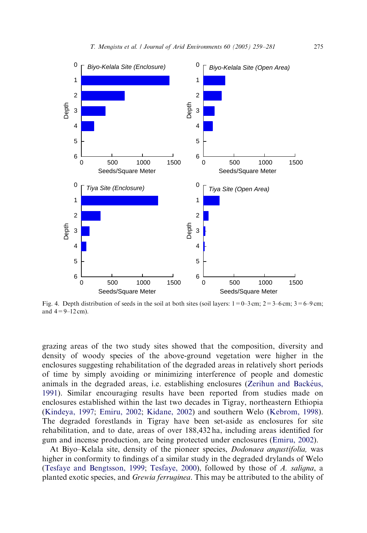<span id="page-16-0"></span>

Fig. 4. Depth distribution of seeds in the soil at both sites (soil layers:  $1 = 0-3$  cm;  $2 = 3-6$  cm;  $3 = 6-9$  cm; and  $4 = 9 - 12$  cm).

grazing areas of the two study sites showed that the composition, diversity and density of woody species of the above-ground vegetation were higher in the enclosures suggesting rehabilitation of the degraded areas in relatively short periods of time by simply avoiding or minimizing interference of people and domestic animals in the degraded areas, i.e. establishing enclosures (Zerihun and Backéus, [1991\)](#page-22-0). Similar encouraging results have been reported from studies made on enclosures established within the last two decades in Tigray, northeastern Ethiopia [\(Kindeya, 1997](#page-21-0); [Emiru, 2002;](#page-21-0) [Kidane, 2002](#page-21-0)) and southern Welo [\(Kebrom, 1998](#page-21-0)). The degraded forestlands in Tigray have been set-aside as enclosures for site rehabilitation, and to date, areas of over 188,432 ha, including areas identified for gum and incense production, are being protected under enclosures [\(Emiru, 2002](#page-21-0)).

At Biyo–Kelala site, density of the pioneer species, Dodonaea angustifolia, was higher in conformity to findings of a similar study in the degraded drylands of Welo [\(Tesfaye and Bengtsson, 1999;](#page-22-0) [Tesfaye, 2000](#page-22-0)), followed by those of A. saligna, a planted exotic species, and Grewia ferruginea. This may be attributed to the ability of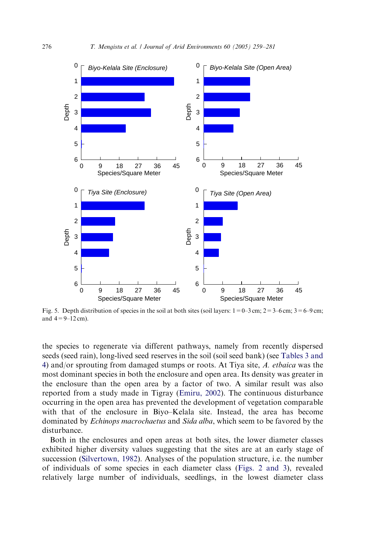<span id="page-17-0"></span>

Fig. 5. Depth distribution of species in the soil at both sites (soil layers:  $1 = 0-3$  cm;  $2 = 3-6$  cm;  $3 = 6-9$  cm; and  $4 = 9 - 12$  cm).

the species to regenerate via different pathways, namely from recently dispersed seeds (seed rain), long-lived seed reserves in the soil (soil seed bank) (see [Tables 3 and](#page-13-0) [4\)](#page-13-0) and/or sprouting from damaged stumps or roots. At Tiya site, A. etbaica was the most dominant species in both the enclosure and open area. Its density was greater in the enclosure than the open area by a factor of two. A similar result was also reported from a study made in Tigray [\(Emiru, 2002\)](#page-21-0). The continuous disturbance occurring in the open area has prevented the development of vegetation comparable with that of the enclosure in Biyo–Kelala site. Instead, the area has become dominated by Echinops macrochaetus and Sida alba, which seem to be favored by the disturbance.

Both in the enclosures and open areas at both sites, the lower diameter classes exhibited higher diversity values suggesting that the sites are at an early stage of succession [\(Silvertown, 1982\)](#page-22-0). Analyses of the population structure, i.e. the number of individuals of some species in each diameter class ([Figs. 2 and 3](#page-11-0)), revealed relatively large number of individuals, seedlings, in the lowest diameter class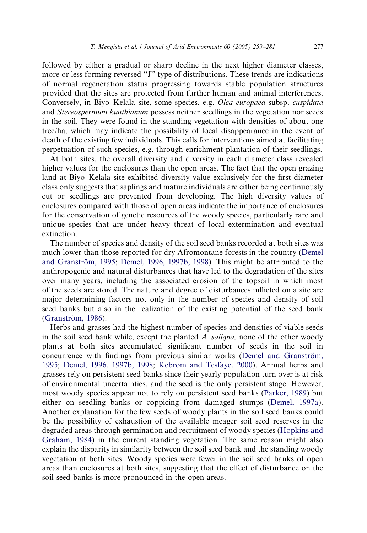followed by either a gradual or sharp decline in the next higher diameter classes, more or less forming reversed ''J'' type of distributions. These trends are indications of normal regeneration status progressing towards stable population structures provided that the sites are protected from further human and animal interferences. Conversely, in Biyo–Kelala site, some species, e.g. Olea europaea subsp. cuspidata and Stereospermum kunthianum possess neither seedlings in the vegetation nor seeds in the soil. They were found in the standing vegetation with densities of about one tree/ha, which may indicate the possibility of local disappearance in the event of death of the existing fewindividuals. This calls for interventions aimed at facilitating perpetuation of such species, e.g. through enrichment plantation of their seedlings.

At both sites, the overall diversity and diversity in each diameter class revealed higher values for the enclosures than the open areas. The fact that the open grazing land at Biyo–Kelala site exhibited diversity value exclusively for the first diameter class only suggests that saplings and mature individuals are either being continuously cut or seedlings are prevented from developing. The high diversity values of enclosures compared with those of open areas indicate the importance of enclosures for the conservation of genetic resources of the woody species, particularly rare and unique species that are under heavy threat of local extermination and eventual extinction.

The number of species and density of the soil seed banks recorded at both sites was much lower than those reported for dry Afromontane forests in the country ([Demel](#page-21-0) [and Granstr](#page-21-0)ö[m, 1995](#page-21-0); [Demel, 1996, 1997b, 1998](#page-21-0)). This might be attributed to the anthropogenic and natural disturbances that have led to the degradation of the sites over many years, including the associated erosion of the topsoil in which most of the seeds are stored. The nature and degree of disturbances inflicted on a site are major determining factors not only in the number of species and density of soil seed banks but also in the realization of the existing potential of the seed bank (Granström, 1986).

Herbs and grasses had the highest number of species and densities of viable seeds in the soil seed bank while, except the planted  $\Lambda$ . saligna, none of the other woody plants at both sites accumulated significant number of seeds in the soil in concurrence with findings from previous similar works (Demel and Granström, [1995;](#page-21-0) [Demel, 1996, 1997b, 1998](#page-21-0); [Kebrom and Tesfaye, 2000](#page-21-0)). Annual herbs and grasses rely on persistent seed banks since their yearly population turn over is at risk of environmental uncertainties, and the seed is the only persistent stage. However, most woody species appear not to rely on persistent seed banks ([Parker, 1989](#page-22-0)) but either on seedling banks or coppicing from damaged stumps [\(Demel, 1997a](#page-21-0)). Another explanation for the fewseeds of woody plants in the soil seed banks could be the possibility of exhaustion of the available meager soil seed reserves in the degraded areas through germination and recruitment of woody species [\(Hopkins and](#page-21-0) [Graham, 1984](#page-21-0)) in the current standing vegetation. The same reason might also explain the disparity in similarity between the soil seed bank and the standing woody vegetation at both sites. Woody species were fewer in the soil seed banks of open areas than enclosures at both sites, suggesting that the effect of disturbance on the soil seed banks is more pronounced in the open areas.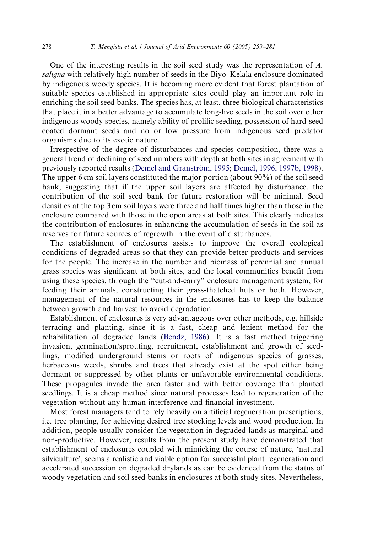One of the interesting results in the soil seed study was the representation of A. saligna with relatively high number of seeds in the Biyo–Kelala enclosure dominated by indigenous woody species. It is becoming more evident that forest plantation of suitable species established in appropriate sites could play an important role in enriching the soil seed banks. The species has, at least, three biological characteristics that place it in a better advantage to accumulate long-live seeds in the soil over other indigenous woody species, namely ability of prolific seeding, possession of hard-seed coated dormant seeds and no or low pressure from indigenous seed predator organisms due to its exotic nature.

Irrespective of the degree of disturbances and species composition, there was a general trend of declining of seed numbers with depth at both sites in agreement with previously reported results ([Demel and Granstr](#page-21-0)ö[m, 1995](#page-21-0); [Demel, 1996, 1997b, 1998](#page-21-0)). The upper 6 cm soil layers constituted the major portion (about 90%) of the soil seed bank, suggesting that if the upper soil layers are affected by disturbance, the contribution of the soil seed bank for future restoration will be minimal. Seed densities at the top 3 cm soil layers were three and half times higher than those in the enclosure compared with those in the open areas at both sites. This clearly indicates the contribution of enclosures in enhancing the accumulation of seeds in the soil as reserves for future sources of regrowth in the event of disturbances.

The establishment of enclosures assists to improve the overall ecological conditions of degraded areas so that they can provide better products and services for the people. The increase in the number and biomass of perennial and annual grass species was significant at both sites, and the local communities benefit from using these species, through the ''cut-and-carry'' enclosure management system, for feeding their animals, constructing their grass-thatched huts or both. However, management of the natural resources in the enclosures has to keep the balance between growth and harvest to avoid degradation.

Establishment of enclosures is very advantageous over other methods, e.g. hillside terracing and planting, since it is a fast, cheap and lenient method for the rehabilitation of degraded lands ([Bendz, 1986\)](#page-21-0). It is a fast method triggering invasion, germination/sprouting, recruitment, establishment and growth of seedlings, modified underground stems or roots of indigenous species of grasses, herbaceous weeds, shrubs and trees that already exist at the spot either being dormant or suppressed by other plants or unfavorable environmental conditions. These propagules invade the area faster and with better coverage than planted seedlings. It is a cheap method since natural processes lead to regeneration of the vegetation without any human interference and financial investment.

Most forest managers tend to rely heavily on artificial regeneration prescriptions, i.e. tree planting, for achieving desired tree stocking levels and wood production. In addition, people usually consider the vegetation in degraded lands as marginal and non-productive. However, results from the present study have demonstrated that establishment of enclosures coupled with mimicking the course of nature, 'natural silviculture', seems a realistic and viable option for successful plant regeneration and accelerated succession on degraded drylands as can be evidenced from the status of woody vegetation and soil seed banks in enclosures at both study sites. Nevertheless,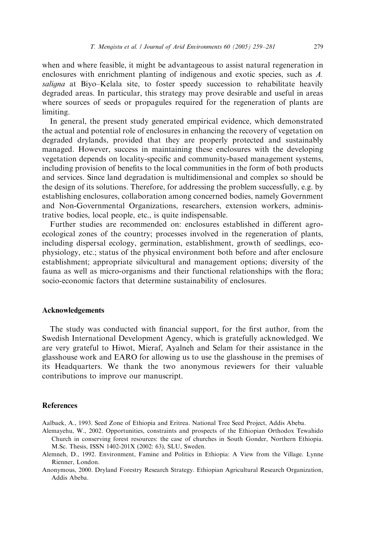<span id="page-20-0"></span>when and where feasible, it might be advantageous to assist natural regeneration in enclosures with enrichment planting of indigenous and exotic species, such as A. saligna at Biyo–Kelala site, to foster speedy succession to rehabilitate heavily degraded areas. In particular, this strategy may prove desirable and useful in areas where sources of seeds or propagules required for the regeneration of plants are limiting.

In general, the present study generated empirical evidence, which demonstrated the actual and potential role of enclosures in enhancing the recovery of vegetation on degraded drylands, provided that they are properly protected and sustainably managed. However, success in maintaining these enclosures with the developing vegetation depends on locality-specific and community-based management systems, including provision of benefits to the local communities in the form of both products and services. Since land degradation is multidimensional and complex so should be the design of its solutions. Therefore, for addressing the problem successfully, e.g. by establishing enclosures, collaboration among concerned bodies, namely Government and Non-Governmental Organizations, researchers, extension workers, administrative bodies, local people, etc., is quite indispensable.

Further studies are recommended on: enclosures established in different agroecological zones of the country; processes involved in the regeneration of plants, including dispersal ecology, germination, establishment, growth of seedlings, ecophysiology, etc.; status of the physical environment both before and after enclosure establishment; appropriate silvicultural and management options; diversity of the fauna as well as micro-organisms and their functional relationships with the flora; socio-economic factors that determine sustainability of enclosures.

#### Acknowledgements

The study was conducted with financial support, for the first author, from the Swedish International Development Agency, which is gratefully acknowledged. We are very grateful to Hiwot, Mieraf, Ayalneh and Selam for their assistance in the glasshouse work and EARO for allowing us to use the glasshouse in the premises of its Headquarters. We thank the two anonymous reviewers for their valuable contributions to improve our manuscript.

### References

Aalbaek, A., 1993. Seed Zone of Ethiopia and Eritrea. National Tree Seed Project, Addis Abeba.

- Alemayehu, W., 2002. Opportunities, constraints and prospects of the Ethiopian Orthodox Tewahido Church in conserving forest resources: the case of churches in South Gonder, Northern Ethiopia. M.Sc. Thesis, ISSN 1402-201X (2002: 63), SLU, Sweden.
- Alemneh, D., 1992. Environment, Famine and Politics in Ethiopia: A Viewfrom the Village. Lynne Rienner, London.
- Anonymous, 2000. Dryland Forestry Research Strategy. Ethiopian Agricultural Research Organization, Addis Abeba.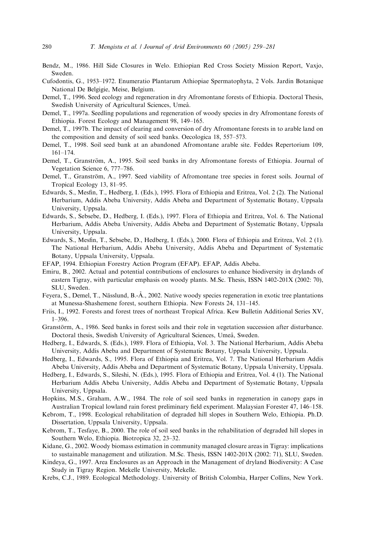- <span id="page-21-0"></span>Bendz, M., 1986. Hill Side Closures in Welo. Ethiopian Red Cross Society Mission Report, Vaxjo, Sweden.
- Cufodontis, G., 1953–1972. Enumeratio Plantarum Athiopiae Spermatophyta, 2 Vols. Jardin Botanique National De Belgigie, Meise, Belgium.
- Demel, T., 1996. Seed ecology and regeneration in dry Afromontane forests of Ethiopia. Doctoral Thesis, Swedish University of Agricultural Sciences, Umeå.
- Demel, T., 1997a. Seedling populations and regeneration of woody species in dry Afromontane forests of Ethiopia. Forest Ecology and Management 98, 149–165.
- Demel, T., 1997b. The impact of clearing and conversion of dry Afromontane forests in to arable land on the composition and density of soil seed banks. Oecologica 18, 557–573.
- Demel, T., 1998. Soil seed bank at an abandoned Afromontane arable site. Feddes Repertorium 109, 161–174.
- Demel, T., Granström, A., 1995. Soil seed banks in dry Afromontane forests of Ethiopia. Journal of Vegetation Science 6, 777–786.
- Demel, T., Granström, A., 1997. Seed viability of Afromontane tree species in forest soils. Journal of Tropical Ecology 13, 81–95.
- Edwards, S., Mesfin, T., Hedberg, I. (Eds.), 1995. Flora of Ethiopia and Eritrea, Vol. 2 (2). The National Herbarium, Addis Abeba University, Addis Abeba and Department of Systematic Botany, Uppsala University, Uppsala.
- Edwards, S., Sebsebe, D., Hedberg, I. (Eds.), 1997. Flora of Ethiopia and Eritrea, Vol. 6. The National Herbarium, Addis Abeba University, Addis Abeba and Department of Systematic Botany, Uppsala University, Uppsala.
- Edwards, S., Mesfin, T., Sebsebe, D., Hedberg, I. (Eds.), 2000. Flora of Ethiopia and Eritrea, Vol. 2 (1). The National Herbarium, Addis Abeba University, Addis Abeba and Department of Systematic Botany, Uppsala University, Uppsala.
- EFAP, 1994. Ethiopian Forestry Action Program (EFAP). EFAP, Addis Abeba.
- Emiru, B., 2002. Actual and potential contributions of enclosures to enhance biodiversity in drylands of eastern Tigray, with particular emphasis on woody plants. M.Sc. Thesis, ISSN 1402-201X (2002: 70), SLU, Sweden.
- Feyera, S., Demel, T., Nässlund, B.-Å., 2002. Native woody species regeneration in exotic tree plantations at Munessa-Shashemene forest, southern Ethiopia. NewForests 24, 131–145.
- Friis, I., 1992. Forests and forest trees of northeast Tropical Africa. Kew Bulletin Additional Series XV, 1–396.
- Granstörm, A., 1986. Seed banks in forest soils and their role in vegetation succession after disturbance. Doctoral thesis, Swedish University of Agricultural Sciences, Umeå, Sweden.
- Hedberg, I., Edwards, S. (Eds.), 1989. Flora of Ethiopia, Vol. 3. The National Herbarium, Addis Abeba University, Addis Abeba and Department of Systematic Botany, Uppsala University, Uppsala.
- Hedberg, I., Edwards, S., 1995. Flora of Ethiopia and Eritrea, Vol. 7. The National Herbarium Addis Abeba University, Addis Abeba and Department of Systematic Botany, Uppsala University, Uppsala.
- Hedberg, I., Edwards, S., Sileshi, N. (Eds.), 1995. Flora of Ethiopia and Eritrea, Vol. 4 (1). The National Herbarium Addis Abeba University, Addis Abeba and Department of Systematic Botany, Uppsala University, Uppsala.
- Hopkins, M.S., Graham, A.W., 1984. The role of soil seed banks in regeneration in canopy gaps in Australian Tropical lowland rain forest preliminary field experiment. Malaysian Forester 47, 146–158.
- Kebrom, T., 1998. Ecological rehabilitation of degraded hill slopes in Southern Welo, Ethiopia. Ph.D. Dissertation, Uppsala University, Uppsala.
- Kebrom, T., Tesfaye, B., 2000. The role of soil seed banks in the rehabilitation of degraded hill slopes in Southern Welo, Ethiopia. Biotropica 32, 23–32.
- Kidane, G., 2002. Woody biomass estimation in community managed closure areas in Tigray: implications to sustainable management and utilization. M.Sc. Thesis, ISSN 1402-201X (2002: 71), SLU, Sweden.
- Kindeya, G., 1997. Area Enclosures as an Approach in the Management of dryland Biodiversity: A Case Study in Tigray Region. Mekelle University, Mekelle.
- Krebs, C.J., 1989. Ecological Methodology. University of British Colombia, Harper Collins, New York.